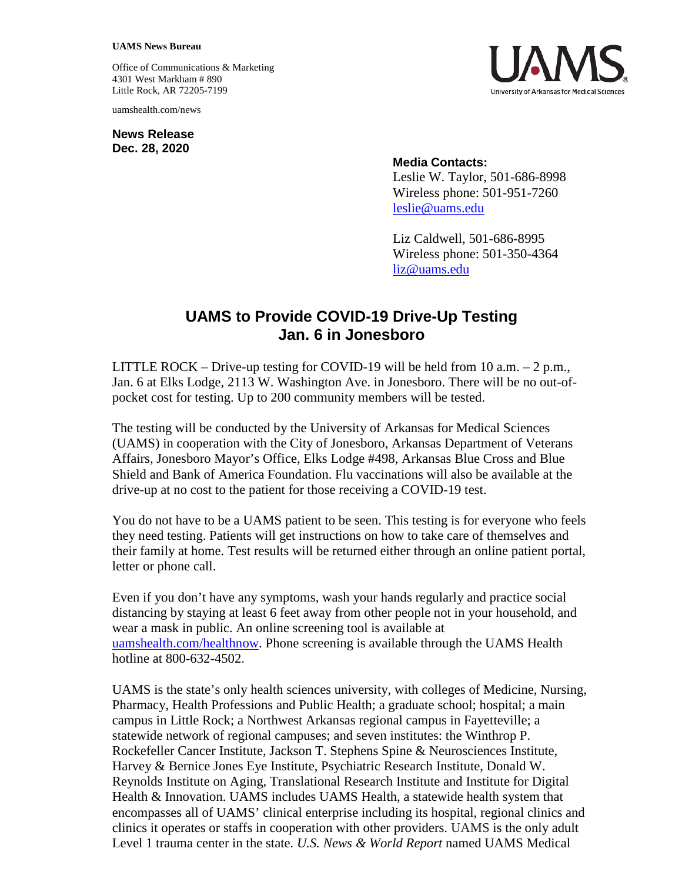## **UAMS News Bureau**

Office of Communications & Marketing 4301 West Markham # 890 Little Rock, AR 72205-7199

uamshealth.com/news

**News Release Dec. 28, 2020**



## **Media Contacts:**

Leslie W. Taylor, 501-686-8998 Wireless phone: 501-951-7260 [leslie@uams.edu](mailto:leslie@uams.edu)

Liz Caldwell, 501-686-8995 Wireless phone: 501-350-4364 [liz@uams.edu](mailto:liz@uams.edu)

## **UAMS to Provide COVID-19 Drive-Up Testing Jan. 6 in Jonesboro**

LITTLE ROCK – Drive-up testing for COVID-19 will be held from 10 a.m.  $-2$  p.m., Jan. 6 at Elks Lodge, 2113 W. Washington Ave. in Jonesboro. There will be no out-ofpocket cost for testing. Up to 200 community members will be tested.

The testing will be conducted by the University of Arkansas for Medical Sciences (UAMS) in cooperation with the City of Jonesboro, Arkansas Department of Veterans Affairs, Jonesboro Mayor's Office, Elks Lodge #498, Arkansas Blue Cross and Blue Shield and Bank of America Foundation. Flu vaccinations will also be available at the drive-up at no cost to the patient for those receiving a COVID-19 test.

You do not have to be a UAMS patient to be seen. This testing is for everyone who feels they need testing. Patients will get instructions on how to take care of themselves and their family at home. Test results will be returned either through an online patient portal, letter or phone call.

Even if you don't have any symptoms, wash your hands regularly and practice social distancing by staying at least 6 feet away from other people not in your household, and wear a mask in public. An online screening tool is available at [uamshealth.com/healthnow.](https://uamshealth.com/healthnow/) Phone screening is available through the UAMS Health hotline at 800-632-4502.

UAMS is the state's only health sciences university, with colleges of Medicine, Nursing, Pharmacy, Health Professions and Public Health; a graduate school; hospital; a main campus in Little Rock; a Northwest Arkansas regional campus in Fayetteville; a statewide network of regional campuses; and seven institutes: the Winthrop P. Rockefeller Cancer Institute, Jackson T. Stephens Spine & Neurosciences Institute, Harvey & Bernice Jones Eye Institute, Psychiatric Research Institute, Donald W. Reynolds Institute on Aging, Translational Research Institute and Institute for Digital Health & Innovation. UAMS includes UAMS Health, a statewide health system that encompasses all of UAMS' clinical enterprise including its hospital, regional clinics and clinics it operates or staffs in cooperation with other providers. UAMS is the only adult Level 1 trauma center in the state. *U.S. News & World Report* named UAMS Medical